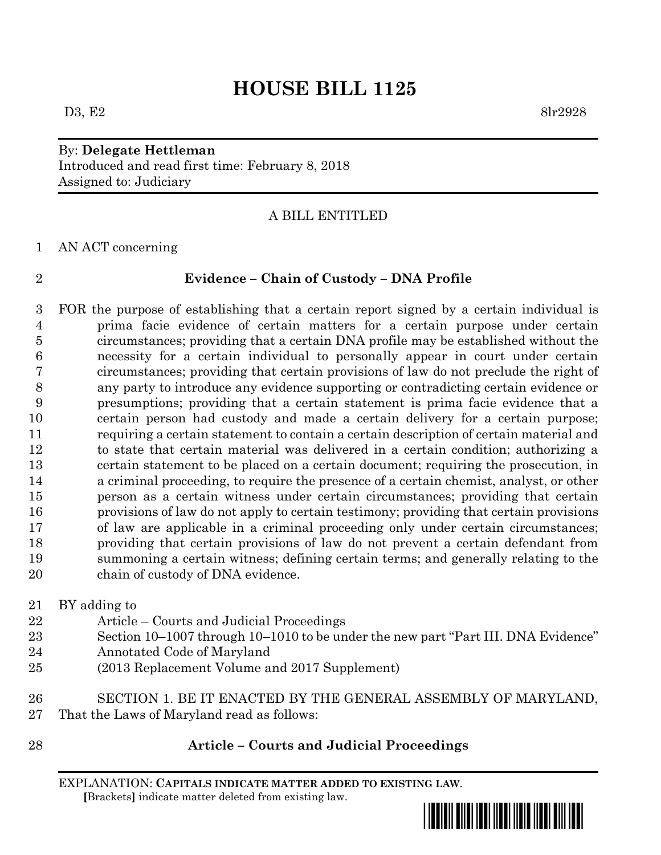# **HOUSE BILL 1125**

# By: **Delegate Hettleman** Introduced and read first time: February 8, 2018 Assigned to: Judiciary

### A BILL ENTITLED

AN ACT concerning

### **Evidence – Chain of Custody – DNA Profile**

 FOR the purpose of establishing that a certain report signed by a certain individual is prima facie evidence of certain matters for a certain purpose under certain circumstances; providing that a certain DNA profile may be established without the necessity for a certain individual to personally appear in court under certain circumstances; providing that certain provisions of law do not preclude the right of any party to introduce any evidence supporting or contradicting certain evidence or presumptions; providing that a certain statement is prima facie evidence that a certain person had custody and made a certain delivery for a certain purpose; requiring a certain statement to contain a certain description of certain material and to state that certain material was delivered in a certain condition; authorizing a certain statement to be placed on a certain document; requiring the prosecution, in a criminal proceeding, to require the presence of a certain chemist, analyst, or other person as a certain witness under certain circumstances; providing that certain provisions of law do not apply to certain testimony; providing that certain provisions of law are applicable in a criminal proceeding only under certain circumstances; providing that certain provisions of law do not prevent a certain defendant from summoning a certain witness; defining certain terms; and generally relating to the chain of custody of DNA evidence.

BY adding to

- Article Courts and Judicial Proceedings
- Section 10–1007 through 10–1010 to be under the new part "Part III. DNA Evidence"
- Annotated Code of Maryland
- (2013 Replacement Volume and 2017 Supplement)
- SECTION 1. BE IT ENACTED BY THE GENERAL ASSEMBLY OF MARYLAND, That the Laws of Maryland read as follows:
- 

# **Article – Courts and Judicial Proceedings**

EXPLANATION: **CAPITALS INDICATE MATTER ADDED TO EXISTING LAW**.  **[**Brackets**]** indicate matter deleted from existing law.

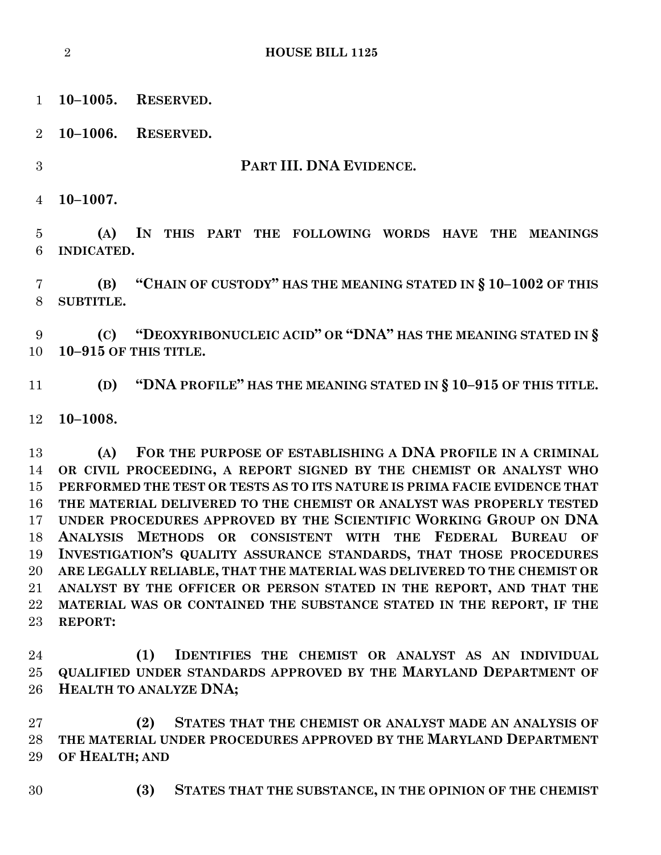**HOUSE BILL 1125**

**10–1005. RESERVED.**

**10–1006. RESERVED.**

**PART III. DNA EVIDENCE.**

**10–1007.**

 **(A) IN THIS PART THE FOLLOWING WORDS HAVE THE MEANINGS INDICATED.**

 **(B) "CHAIN OF CUSTODY" HAS THE MEANING STATED IN § 10–1002 OF THIS SUBTITLE.**

 **(C) "DEOXYRIBONUCLEIC ACID" OR "DNA" HAS THE MEANING STATED IN § 10–915 OF THIS TITLE.**

**(D) "DNA PROFILE" HAS THE MEANING STATED IN § 10–915 OF THIS TITLE.**

**10–1008.**

 **(A) FOR THE PURPOSE OF ESTABLISHING A DNA PROFILE IN A CRIMINAL OR CIVIL PROCEEDING, A REPORT SIGNED BY THE CHEMIST OR ANALYST WHO PERFORMED THE TEST OR TESTS AS TO ITS NATURE IS PRIMA FACIE EVIDENCE THAT THE MATERIAL DELIVERED TO THE CHEMIST OR ANALYST WAS PROPERLY TESTED UNDER PROCEDURES APPROVED BY THE SCIENTIFIC WORKING GROUP ON DNA ANALYSIS METHODS OR CONSISTENT WITH THE FEDERAL BUREAU OF INVESTIGATION'S QUALITY ASSURANCE STANDARDS, THAT THOSE PROCEDURES ARE LEGALLY RELIABLE, THAT THE MATERIAL WAS DELIVERED TO THE CHEMIST OR ANALYST BY THE OFFICER OR PERSON STATED IN THE REPORT, AND THAT THE MATERIAL WAS OR CONTAINED THE SUBSTANCE STATED IN THE REPORT, IF THE REPORT:**

 **(1) IDENTIFIES THE CHEMIST OR ANALYST AS AN INDIVIDUAL QUALIFIED UNDER STANDARDS APPROVED BY THE MARYLAND DEPARTMENT OF HEALTH TO ANALYZE DNA;**

 **(2) STATES THAT THE CHEMIST OR ANALYST MADE AN ANALYSIS OF THE MATERIAL UNDER PROCEDURES APPROVED BY THE MARYLAND DEPARTMENT OF HEALTH; AND** 

- 
- **(3) STATES THAT THE SUBSTANCE, IN THE OPINION OF THE CHEMIST**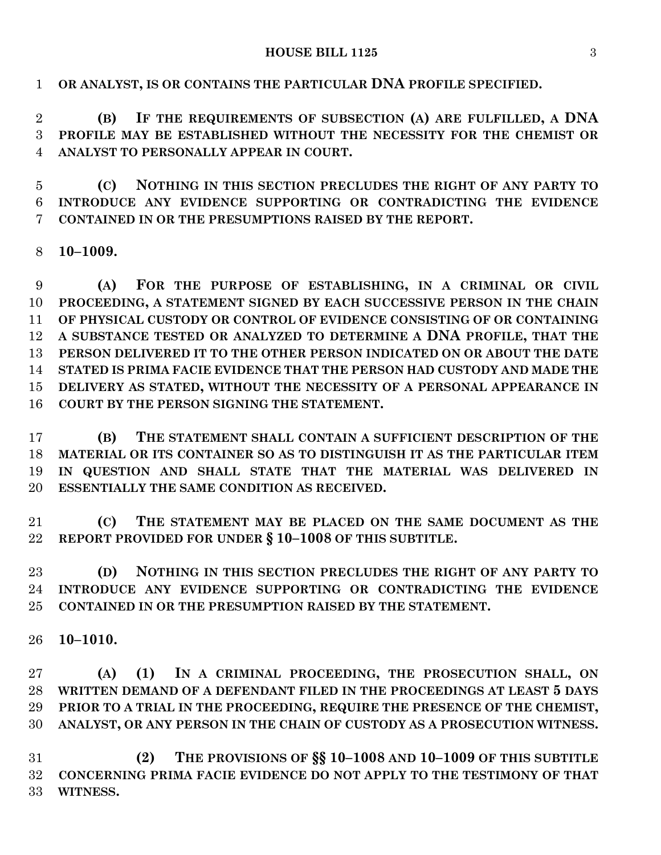#### **HOUSE BILL 1125** 3

**OR ANALYST, IS OR CONTAINS THE PARTICULAR DNA PROFILE SPECIFIED.**

 **(B) IF THE REQUIREMENTS OF SUBSECTION (A) ARE FULFILLED, A DNA PROFILE MAY BE ESTABLISHED WITHOUT THE NECESSITY FOR THE CHEMIST OR ANALYST TO PERSONALLY APPEAR IN COURT.**

 **(C) NOTHING IN THIS SECTION PRECLUDES THE RIGHT OF ANY PARTY TO INTRODUCE ANY EVIDENCE SUPPORTING OR CONTRADICTING THE EVIDENCE CONTAINED IN OR THE PRESUMPTIONS RAISED BY THE REPORT.**

**10–1009.**

 **(A) FOR THE PURPOSE OF ESTABLISHING, IN A CRIMINAL OR CIVIL PROCEEDING, A STATEMENT SIGNED BY EACH SUCCESSIVE PERSON IN THE CHAIN OF PHYSICAL CUSTODY OR CONTROL OF EVIDENCE CONSISTING OF OR CONTAINING A SUBSTANCE TESTED OR ANALYZED TO DETERMINE A DNA PROFILE, THAT THE PERSON DELIVERED IT TO THE OTHER PERSON INDICATED ON OR ABOUT THE DATE STATED IS PRIMA FACIE EVIDENCE THAT THE PERSON HAD CUSTODY AND MADE THE DELIVERY AS STATED, WITHOUT THE NECESSITY OF A PERSONAL APPEARANCE IN COURT BY THE PERSON SIGNING THE STATEMENT.**

 **(B) THE STATEMENT SHALL CONTAIN A SUFFICIENT DESCRIPTION OF THE MATERIAL OR ITS CONTAINER SO AS TO DISTINGUISH IT AS THE PARTICULAR ITEM IN QUESTION AND SHALL STATE THAT THE MATERIAL WAS DELIVERED IN ESSENTIALLY THE SAME CONDITION AS RECEIVED.**

 **(C) THE STATEMENT MAY BE PLACED ON THE SAME DOCUMENT AS THE REPORT PROVIDED FOR UNDER § 10–1008 OF THIS SUBTITLE.**

 **(D) NOTHING IN THIS SECTION PRECLUDES THE RIGHT OF ANY PARTY TO INTRODUCE ANY EVIDENCE SUPPORTING OR CONTRADICTING THE EVIDENCE CONTAINED IN OR THE PRESUMPTION RAISED BY THE STATEMENT.**

**10–1010.**

 **(A) (1) IN A CRIMINAL PROCEEDING, THE PROSECUTION SHALL, ON WRITTEN DEMAND OF A DEFENDANT FILED IN THE PROCEEDINGS AT LEAST 5 DAYS PRIOR TO A TRIAL IN THE PROCEEDING, REQUIRE THE PRESENCE OF THE CHEMIST, ANALYST, OR ANY PERSON IN THE CHAIN OF CUSTODY AS A PROSECUTION WITNESS.**

 **(2) THE PROVISIONS OF §§ 10–1008 AND 10–1009 OF THIS SUBTITLE CONCERNING PRIMA FACIE EVIDENCE DO NOT APPLY TO THE TESTIMONY OF THAT WITNESS.**